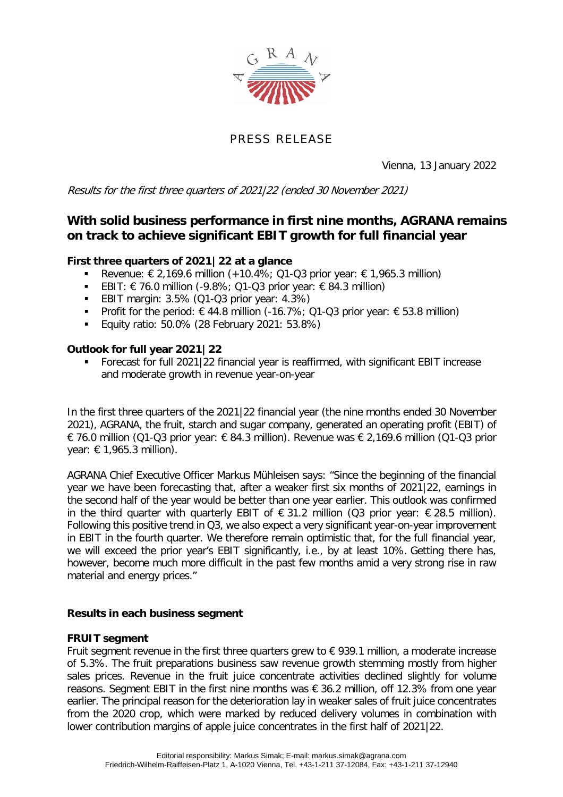

# PRESS RELEASE

Vienna, 13 January 2022

Results for the first three quarters of 2021|22 (ended 30 November 2021)

# **With solid business performance in first nine months, AGRANA remains on track to achieve significant EBIT growth for full financial year**

### **First three quarters of 2021|22 at a glance**

- **■** Revenue:  $\epsilon$  2,169.6 million (+10.4%; Q1-Q3 prior year:  $\epsilon$  1,965.3 million)
- **EBIT:**  $€ 76.0$  **million (-9.8%; Q1-Q3 prior year:**  $€ 84.3$  **million)**
- **EBIT margin: 3.5% (Q1-Q3 prior year: 4.3%)**
- Profit for the period:  $\epsilon$  44.8 million (-16.7%; Q1-Q3 prior year:  $\epsilon$  53.8 million)
- Equity ratio: 50.0% (28 February 2021: 53.8%)

### **Outlook for full year 2021|22**

 Forecast for full 2021|22 financial year is reaffirmed, with significant EBIT increase and moderate growth in revenue year-on-year

In the first three quarters of the 2021|22 financial year (the nine months ended 30 November 2021), AGRANA, the fruit, starch and sugar company, generated an operating profit (EBIT) of € 76.0 million (Q1-Q3 prior year: € 84.3 million). Revenue was € 2,169.6 million (Q1-Q3 prior year: € 1,965.3 million).

AGRANA Chief Executive Officer Markus Mühleisen says: "Since the beginning of the financial year we have been forecasting that, after a weaker first six months of 2021|22, earnings in the second half of the year would be better than one year earlier. This outlook was confirmed in the third quarter with quarterly EBIT of  $\epsilon$  31.2 million (Q3 prior year:  $\epsilon$  28.5 million). Following this positive trend in Q3, we also expect a very significant year-on-year improvement in EBIT in the fourth quarter. We therefore remain optimistic that, for the full financial year, we will exceed the prior year's EBIT significantly, i.e., by at least 10%. Getting there has, however, become much more difficult in the past few months amid a very strong rise in raw material and energy prices."

### **Results in each business segment**

### **FRUIT segment**

Fruit segment revenue in the first three quarters grew to  $\epsilon$  939.1 million, a moderate increase of 5.3%. The fruit preparations business saw revenue growth stemming mostly from higher sales prices. Revenue in the fruit juice concentrate activities declined slightly for volume reasons. Segment EBIT in the first nine months was € 36.2 million, off 12.3% from one year earlier. The principal reason for the deterioration lay in weaker sales of fruit juice concentrates from the 2020 crop, which were marked by reduced delivery volumes in combination with lower contribution margins of apple juice concentrates in the first half of 2021|22.